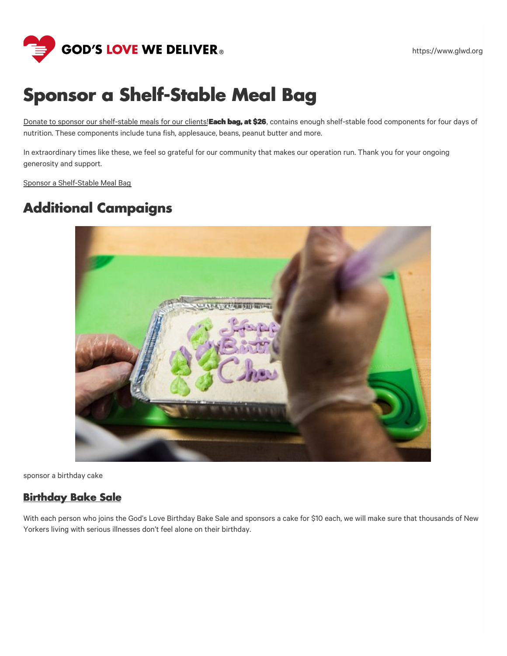

# **Sponsor a Shelf-Stable Meal Bag**

Donate to sponsor our [shelf-stable](https://give.glwd.org/give/408299/#!/donation/checkout?utm_source=website&utm_medium=landing_page&utm_campaign=22SSB&c_src=WS&c_src2=LP) meals for our clients!**Each bag, at \$26**, contains enough shelf-stable food components for four days of nutrition. These components include tuna fish, applesauce, beans, peanut butter and more.

In extraordinary times like these, we feel so grateful for our community that makes our operation run. Thank you for your ongoing generosity and support.

Sponsor a [Shelf-Stable](https://give.glwd.org/give/408299/#!/donation/checkout?utm_source=website&utm_medium=landing_page&utm_campaign=22SSB&c_src=WS&c_src2=LP) Meal Bag

# **Additional Campaigns**



sponsor a birthday cake

#### **[Birthday](https://www.glwd.org/donate/ways-to-give/current-campaigns/birthday-bake-sale/) Bake Sale**

With each person who joins the God's Love Birthday Bake Sale and sponsors a cake for \$10 each, we will make sure that thousands of New Yorkers living with serious illnesses don't feel alone on their birthday.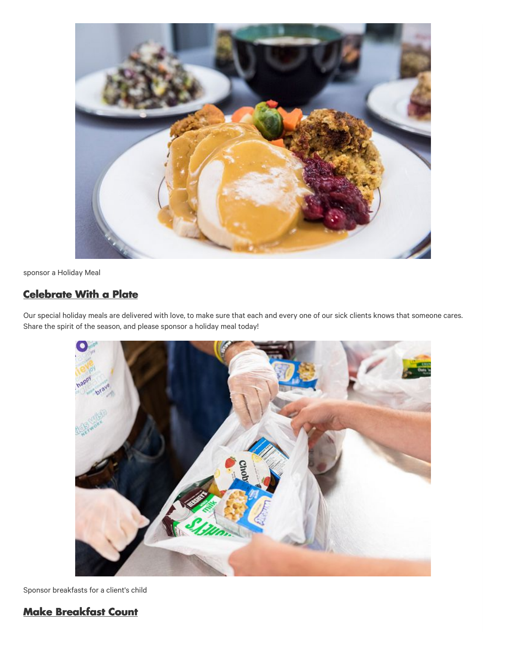

sponsor a Holiday Meal

### **[Celebrate](https://www.glwd.org/donate/ways-to-give/current-campaigns/celebrate-with-a-plate/) With a Plate**

Our special holiday meals are delivered with love, to make sure that each and every one of our sick clients knows that someone cares. Share the spirit of the season, and please sponsor a holiday meal today!



Sponsor breakfasts for a client's child

## **Make [Breakfast](https://www.glwd.org/donate/ways-to-give/current-campaigns/make-breakfast-count/) Count**